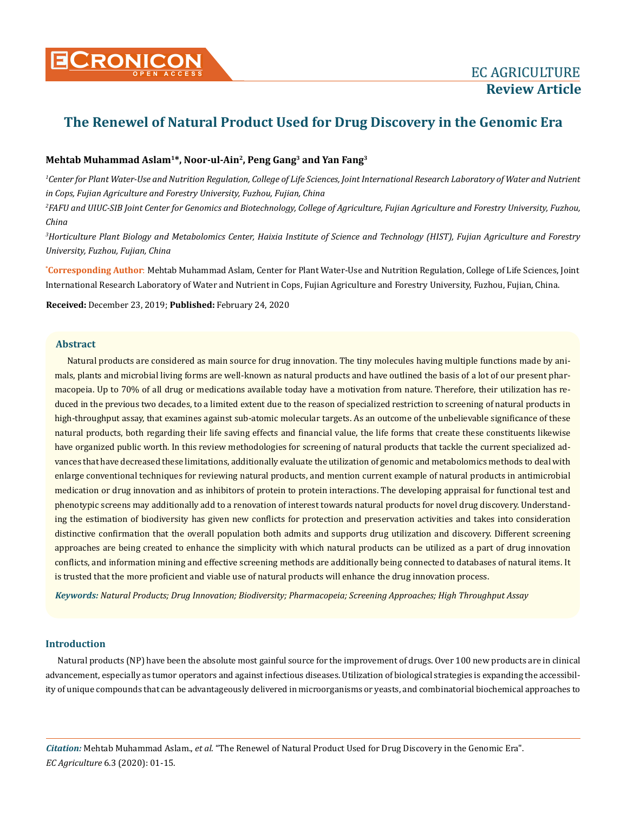# **Mehtab Muhammad Aslam1\*, Noor-ul-Ain2, Peng Gang3 and Yan Fang3**

*1 Center for Plant Water-Use and Nutrition Regulation, College of Life Sciences, Joint International Research Laboratory of Water and Nutrient in Cops, Fujian Agriculture and Forestry University, Fuzhou, Fujian, China*

*2 FAFU and UIUC-SIB Joint Center for Genomics and Biotechnology, College of Agriculture, Fujian Agriculture and Forestry University, Fuzhou, China* 

*3 Horticulture Plant Biology and Metabolomics Center, Haixia Institute of Science and Technology (HIST), Fujian Agriculture and Forestry University, Fuzhou, Fujian, China*

**\* Corresponding Author**: Mehtab Muhammad Aslam, Center for Plant Water-Use and Nutrition Regulation, College of Life Sciences, Joint International Research Laboratory of Water and Nutrient in Cops, Fujian Agriculture and Forestry University, Fuzhou, Fujian, China.

**Received:** December 23, 2019; **Published:** February 24, 2020

## **Abstract**

Natural products are considered as main source for drug innovation. The tiny molecules having multiple functions made by animals, plants and microbial living forms are well-known as natural products and have outlined the basis of a lot of our present pharmacopeia. Up to 70% of all drug or medications available today have a motivation from nature. Therefore, their utilization has reduced in the previous two decades, to a limited extent due to the reason of specialized restriction to screening of natural products in high-throughput assay, that examines against sub-atomic molecular targets. As an outcome of the unbelievable significance of these natural products, both regarding their life saving effects and financial value, the life forms that create these constituents likewise have organized public worth. In this review methodologies for screening of natural products that tackle the current specialized advances that have decreased these limitations, additionally evaluate the utilization of genomic and metabolomics methods to deal with enlarge conventional techniques for reviewing natural products, and mention current example of natural products in antimicrobial medication or drug innovation and as inhibitors of protein to protein interactions. The developing appraisal for functional test and phenotypic screens may additionally add to a renovation of interest towards natural products for novel drug discovery. Understanding the estimation of biodiversity has given new conflicts for protection and preservation activities and takes into consideration distinctive confirmation that the overall population both admits and supports drug utilization and discovery. Different screening approaches are being created to enhance the simplicity with which natural products can be utilized as a part of drug innovation conflicts, and information mining and effective screening methods are additionally being connected to databases of natural items. It is trusted that the more proficient and viable use of natural products will enhance the drug innovation process.

*Keywords: Natural Products; Drug Innovation; Biodiversity; Pharmacopeia; Screening Approaches; High Throughput Assay*

## **Introduction**

Natural products (NP) have been the absolute most gainful source for the improvement of drugs. Over 100 new products are in clinical advancement, especially as tumor operators and against infectious diseases. Utilization of biological strategies is expanding the accessibility of unique compounds that can be advantageously delivered in microorganisms or yeasts, and combinatorial biochemical approaches to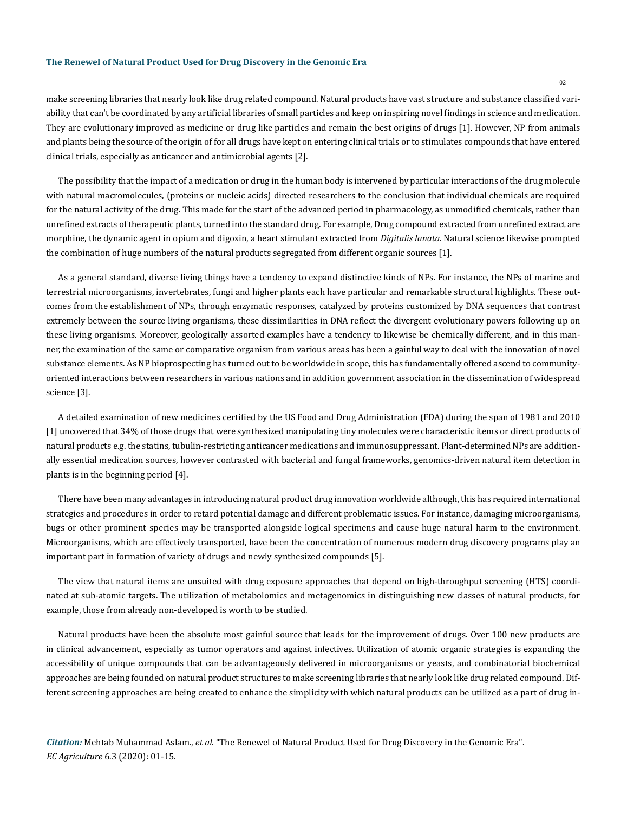make screening libraries that nearly look like drug related compound. Natural products have vast structure and substance classified variability that can't be coordinated by any artificial libraries of small particles and keep on inspiring novel findings in science and medication. They are evolutionary improved as medicine or drug like particles and remain the best origins of drugs [1]. However, NP from animals and plants being the source of the origin of for all drugs have kept on entering clinical trials or to stimulates compounds that have entered clinical trials, especially as anticancer and antimicrobial agents [2].

The possibility that the impact of a medication or drug in the human body is intervened by particular interactions of the drug molecule with natural macromolecules, (proteins or nucleic acids) directed researchers to the conclusion that individual chemicals are required for the natural activity of the drug. This made for the start of the advanced period in pharmacology, as unmodified chemicals, rather than unrefined extracts of therapeutic plants, turned into the standard drug. For example, Drug compound extracted from unrefined extract are morphine, the dynamic agent in opium and digoxin, a heart stimulant extracted from *Digitalis lanata*. Natural science likewise prompted the combination of huge numbers of the natural products segregated from different organic sources [1].

As a general standard, diverse living things have a tendency to expand distinctive kinds of NPs. For instance, the NPs of marine and terrestrial microorganisms, invertebrates, fungi and higher plants each have particular and remarkable structural highlights. These outcomes from the establishment of NPs, through enzymatic responses, catalyzed by proteins customized by DNA sequences that contrast extremely between the source living organisms, these dissimilarities in DNA reflect the divergent evolutionary powers following up on these living organisms. Moreover, geologically assorted examples have a tendency to likewise be chemically different, and in this manner, the examination of the same or comparative organism from various areas has been a gainful way to deal with the innovation of novel substance elements. As NP bioprospecting has turned out to be worldwide in scope, this has fundamentally offered ascend to communityoriented interactions between researchers in various nations and in addition government association in the dissemination of widespread science [3].

A detailed examination of new medicines certified by the US Food and Drug Administration (FDA) during the span of 1981 and 2010 [1] uncovered that 34% of those drugs that were synthesized manipulating tiny molecules were characteristic items or direct products of natural products e.g. the statins, tubulin-restricting anticancer medications and immunosuppressant. Plant-determined NPs are additionally essential medication sources, however contrasted with bacterial and fungal frameworks, genomics-driven natural item detection in plants is in the beginning period [4].

There have been many advantages in introducing natural product drug innovation worldwide although, this has required international strategies and procedures in order to retard potential damage and different problematic issues. For instance, damaging microorganisms, bugs or other prominent species may be transported alongside logical specimens and cause huge natural harm to the environment. Microorganisms, which are effectively transported, have been the concentration of numerous modern drug discovery programs play an important part in formation of variety of drugs and newly synthesized compounds [5].

The view that natural items are unsuited with drug exposure approaches that depend on high-throughput screening (HTS) coordinated at sub-atomic targets. The utilization of metabolomics and metagenomics in distinguishing new classes of natural products, for example, those from already non-developed is worth to be studied.

Natural products have been the absolute most gainful source that leads for the improvement of drugs. Over 100 new products are in clinical advancement, especially as tumor operators and against infectives. Utilization of atomic organic strategies is expanding the accessibility of unique compounds that can be advantageously delivered in microorganisms or yeasts, and combinatorial biochemical approaches are being founded on natural product structures to make screening libraries that nearly look like drug related compound. Different screening approaches are being created to enhance the simplicity with which natural products can be utilized as a part of drug in-

*Citation:* Mehtab Muhammad Aslam., *et al*. "The Renewel of Natural Product Used for Drug Discovery in the Genomic Era". *EC Agriculture* 6.3 (2020): 01-15.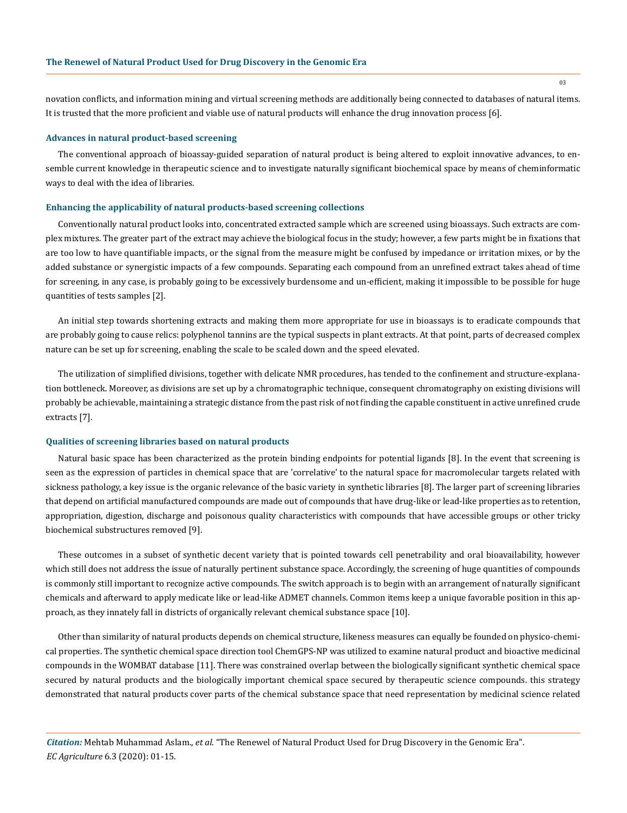novation conflicts, and information mining and virtual screening methods are additionally being connected to databases of natural items. It is trusted that the more proficient and viable use of natural products will enhance the drug innovation process [6].

#### **Advances in natural product-based screening**

The conventional approach of bioassay-guided separation of natural product is being altered to exploit innovative advances, to ensemble current knowledge in therapeutic science and to investigate naturally significant biochemical space by means of cheminformatic ways to deal with the idea of libraries.

#### **Enhancing the applicability of natural products-based screening collections**

Conventionally natural product looks into, concentrated extracted sample which are screened using bioassays. Such extracts are complex mixtures. The greater part of the extract may achieve the biological focus in the study; however, a few parts might be in fixations that are too low to have quantifiable impacts, or the signal from the measure might be confused by impedance or irritation mixes, or by the added substance or synergistic impacts of a few compounds. Separating each compound from an unrefined extract takes ahead of time for screening, in any case, is probably going to be excessively burdensome and un-efficient, making it impossible to be possible for huge quantities of tests samples [2].

An initial step towards shortening extracts and making them more appropriate for use in bioassays is to eradicate compounds that are probably going to cause relics: polyphenol tannins are the typical suspects in plant extracts. At that point, parts of decreased complex nature can be set up for screening, enabling the scale to be scaled down and the speed elevated.

The utilization of simplified divisions, together with delicate NMR procedures, has tended to the confinement and structure-explanation bottleneck. Moreover, as divisions are set up by a chromatographic technique, consequent chromatography on existing divisions will probably be achievable, maintaining a strategic distance from the past risk of not finding the capable constituent in active unrefined crude extracts [7].

#### **Qualities of screening libraries based on natural products**

Natural basic space has been characterized as the protein binding endpoints for potential ligands [8]. In the event that screening is seen as the expression of particles in chemical space that are 'correlative' to the natural space for macromolecular targets related with sickness pathology, a key issue is the organic relevance of the basic variety in synthetic libraries [8]. The larger part of screening libraries that depend on artificial manufactured compounds are made out of compounds that have drug-like or lead-like properties as to retention, appropriation, digestion, discharge and poisonous quality characteristics with compounds that have accessible groups or other tricky biochemical substructures removed [9].

These outcomes in a subset of synthetic decent variety that is pointed towards cell penetrability and oral bioavailability, however which still does not address the issue of naturally pertinent substance space. Accordingly, the screening of huge quantities of compounds is commonly still important to recognize active compounds. The switch approach is to begin with an arrangement of naturally significant chemicals and afterward to apply medicate like or lead-like ADMET channels. Common items keep a unique favorable position in this approach, as they innately fall in districts of organically relevant chemical substance space [10].

Other than similarity of natural products depends on chemical structure, likeness measures can equally be founded on physico-chemical properties. The synthetic chemical space direction tool ChemGPS-NP was utilized to examine natural product and bioactive medicinal compounds in the WOMBAT database [11]. There was constrained overlap between the biologically significant synthetic chemical space secured by natural products and the biologically important chemical space secured by therapeutic science compounds. this strategy demonstrated that natural products cover parts of the chemical substance space that need representation by medicinal science related

*Citation:* Mehtab Muhammad Aslam., *et al*. "The Renewel of Natural Product Used for Drug Discovery in the Genomic Era". *EC Agriculture* 6.3 (2020): 01-15.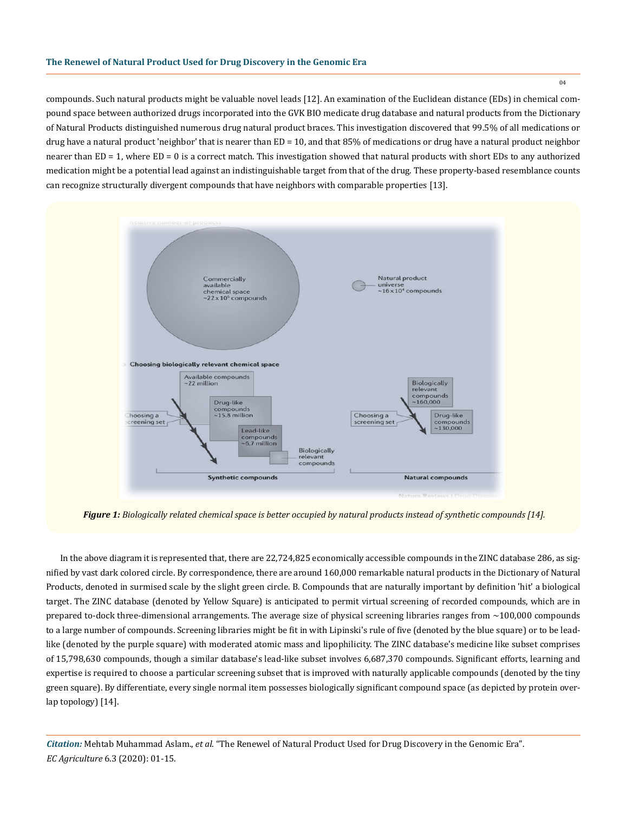compounds. Such natural products might be valuable novel leads [12]. An examination of the Euclidean distance (EDs) in chemical compound space between authorized drugs incorporated into the GVK BIO medicate drug database and natural products from the Dictionary of Natural Products distinguished numerous drug natural product braces. This investigation discovered that 99.5% of all medications or drug have a natural product 'neighbor' that is nearer than ED = 10, and that 85% of medications or drug have a natural product neighbor nearer than ED = 1, where ED = 0 is a correct match. This investigation showed that natural products with short EDs to any authorized medication might be a potential lead against an indistinguishable target from that of the drug. These property-based resemblance counts can recognize structurally divergent compounds that have neighbors with comparable properties [13].



*Figure 1: Biologically related chemical space is better occupied by natural products instead of synthetic compounds [14].*

 In the above diagram it is represented that, there are 22,724,825 economically accessible compounds in the ZINC database 286, as signified by vast dark colored circle. By correspondence, there are around 160,000 remarkable natural products in the Dictionary of Natural Products, denoted in surmised scale by the slight green circle. B. Compounds that are naturally important by definition 'hit' a biological target. The ZINC database (denoted by Yellow Square) is anticipated to permit virtual screening of recorded compounds, which are in prepared to-dock three-dimensional arrangements. The average size of physical screening libraries ranges from ~100,000 compounds to a large number of compounds. Screening libraries might be fit in with Lipinski's rule of five (denoted by the blue square) or to be leadlike (denoted by the purple square) with moderated atomic mass and lipophilicity. The ZINC database's medicine like subset comprises of 15,798,630 compounds, though a similar database's lead-like subset involves 6,687,370 compounds. Significant efforts, learning and expertise is required to choose a particular screening subset that is improved with naturally applicable compounds (denoted by the tiny green square). By differentiate, every single normal item possesses biologically significant compound space (as depicted by protein overlap topology) [14].

*Citation:* Mehtab Muhammad Aslam., *et al*. "The Renewel of Natural Product Used for Drug Discovery in the Genomic Era". *EC Agriculture* 6.3 (2020): 01-15.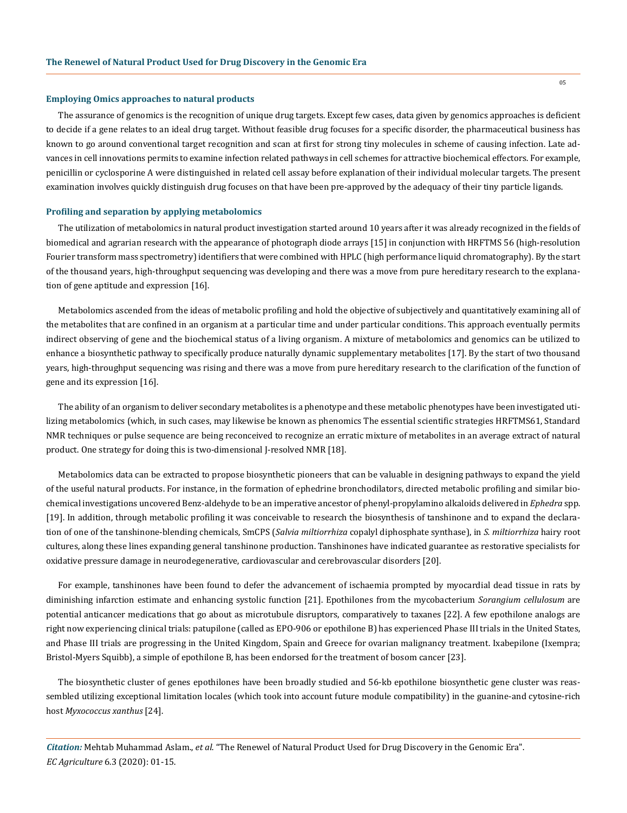#### **Employing Omics approaches to natural products**

The assurance of genomics is the recognition of unique drug targets. Except few cases, data given by genomics approaches is deficient to decide if a gene relates to an ideal drug target. Without feasible drug focuses for a specific disorder, the pharmaceutical business has known to go around conventional target recognition and scan at first for strong tiny molecules in scheme of causing infection. Late advances in cell innovations permits to examine infection related pathways in cell schemes for attractive biochemical effectors. For example, penicillin or cyclosporine A were distinguished in related cell assay before explanation of their individual molecular targets. The present examination involves quickly distinguish drug focuses on that have been pre-approved by the adequacy of their tiny particle ligands.

#### **Profiling and separation by applying metabolomics**

The utilization of metabolomics in natural product investigation started around 10 years after it was already recognized in the fields of biomedical and agrarian research with the appearance of photograph diode arrays [15] in conjunction with HRFTMS 56 (high-resolution Fourier transform mass spectrometry) identifiers that were combined with HPLC (high performance liquid chromatography). By the start of the thousand years, high-throughput sequencing was developing and there was a move from pure hereditary research to the explanation of gene aptitude and expression [16].

Metabolomics ascended from the ideas of metabolic profiling and hold the objective of subjectively and quantitatively examining all of the metabolites that are confined in an organism at a particular time and under particular conditions. This approach eventually permits indirect observing of gene and the biochemical status of a living organism. A mixture of metabolomics and genomics can be utilized to enhance a biosynthetic pathway to specifically produce naturally dynamic supplementary metabolites [17]. By the start of two thousand years, high-throughput sequencing was rising and there was a move from pure hereditary research to the clarification of the function of gene and its expression [16].

The ability of an organism to deliver secondary metabolites is a phenotype and these metabolic phenotypes have been investigated utilizing metabolomics (which, in such cases, may likewise be known as phenomics The essential scientific strategies HRFTMS61, Standard NMR techniques or pulse sequence are being reconceived to recognize an erratic mixture of metabolites in an average extract of natural product. One strategy for doing this is two-dimensional J-resolved NMR [18].

Metabolomics data can be extracted to propose biosynthetic pioneers that can be valuable in designing pathways to expand the yield of the useful natural products. For instance, in the formation of ephedrine bronchodilators, directed metabolic profiling and similar biochemical investigations uncovered Benz-aldehyde to be an imperative ancestor of phenyl-propylamino alkaloids delivered in *Ephedra* spp. [19]. In addition, through metabolic profiling it was conceivable to research the biosynthesis of tanshinone and to expand the declaration of one of the tanshinone-blending chemicals, SmCPS (*Salvia miltiorrhiza* copalyl diphosphate synthase), in *S. miltiorrhiza* hairy root cultures, along these lines expanding general tanshinone production. Tanshinones have indicated guarantee as restorative specialists for oxidative pressure damage in neurodegenerative, cardiovascular and cerebrovascular disorders [20].

For example, tanshinones have been found to defer the advancement of ischaemia prompted by myocardial dead tissue in rats by diminishing infarction estimate and enhancing systolic function [21]. Epothilones from the mycobacterium *Sorangium cellulosum* are potential anticancer medications that go about as microtubule disruptors, comparatively to taxanes [22]. A few epothilone analogs are right now experiencing clinical trials: patupilone (called as EPO-906 or epothilone B) has experienced Phase III trials in the United States, and Phase III trials are progressing in the United Kingdom, Spain and Greece for ovarian malignancy treatment. Ixabepilone (Ixempra; Bristol-Myers Squibb), a simple of epothilone B, has been endorsed for the treatment of bosom cancer [23].

The biosynthetic cluster of genes epothilones have been broadly studied and 56-kb epothilone biosynthetic gene cluster was reassembled utilizing exceptional limitation locales (which took into account future module compatibility) in the guanine-and cytosine-rich host *Myxococcus xanthus* [24].

*Citation:* Mehtab Muhammad Aslam., *et al*. "The Renewel of Natural Product Used for Drug Discovery in the Genomic Era". *EC Agriculture* 6.3 (2020): 01-15.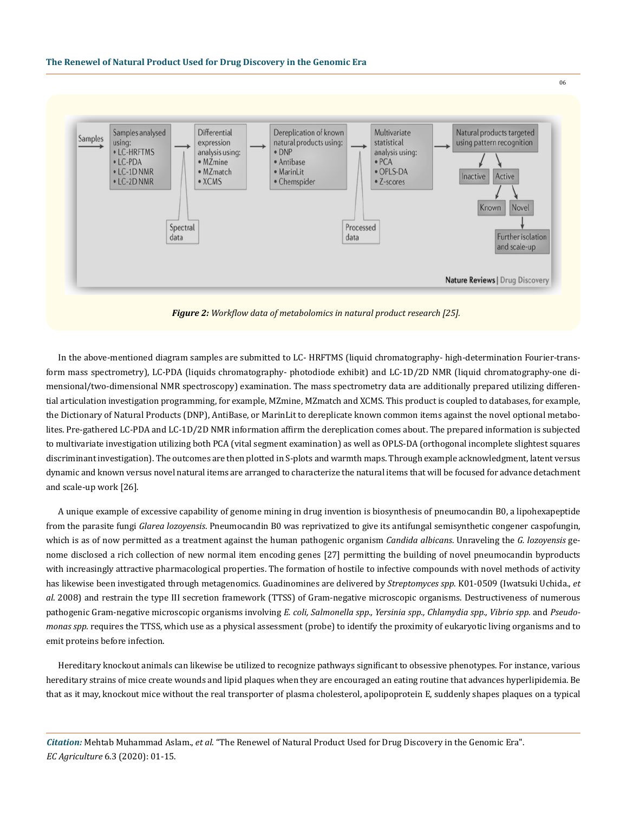



06

*Figure 2: Workflow data of metabolomics in natural product research [25].*

In the above-mentioned diagram samples are submitted to LC- HRFTMS (liquid chromatography- high-determination Fourier-transform mass spectrometry), LC-PDA (liquids chromatography- photodiode exhibit) and LC-1D/2D NMR (liquid chromatography-one dimensional/two-dimensional NMR spectroscopy) examination. The mass spectrometry data are additionally prepared utilizing differential articulation investigation programming, for example, MZmine, MZmatch and XCMS. This product is coupled to databases, for example, the Dictionary of Natural Products (DNP), AntiBase, or MarinLit to dereplicate known common items against the novel optional metabolites. Pre-gathered LC-PDA and LC-1D/2D NMR information affirm the dereplication comes about. The prepared information is subjected to multivariate investigation utilizing both PCA (vital segment examination) as well as OPLS-DA (orthogonal incomplete slightest squares discriminant investigation). The outcomes are then plotted in S-plots and warmth maps. Through example acknowledgment, latent versus dynamic and known versus novel natural items are arranged to characterize the natural items that will be focused for advance detachment and scale-up work [26].

A unique example of excessive capability of genome mining in drug invention is biosynthesis of pneumocandin B0, a lipohexapeptide from the parasite fungi *Glarea lozoyensis*. Pneumocandin B0 was reprivatized to give its antifungal semisynthetic congener caspofungin, which is as of now permitted as a treatment against the human pathogenic organism *Candida albicans*. Unraveling the *G. lozoyensis* genome disclosed a rich collection of new normal item encoding genes [27] permitting the building of novel pneumocandin byproducts with increasingly attractive pharmacological properties. The formation of hostile to infective compounds with novel methods of activity has likewise been investigated through metagenomics. Guadinomines are delivered by *Streptomyces spp*. K01-0509 (Iwatsuki Uchida., *et al*. 2008) and restrain the type III secretion framework (TTSS) of Gram-negative microscopic organisms. Destructiveness of numerous pathogenic Gram-negative microscopic organisms involving *E. coli, Salmonella spp., Yersinia spp., Chlamydia spp., Vibrio spp.* and *Pseudomonas spp.* requires the TTSS, which use as a physical assessment (probe) to identify the proximity of eukaryotic living organisms and to emit proteins before infection.

Hereditary knockout animals can likewise be utilized to recognize pathways significant to obsessive phenotypes. For instance, various hereditary strains of mice create wounds and lipid plaques when they are encouraged an eating routine that advances hyperlipidemia. Be that as it may, knockout mice without the real transporter of plasma cholesterol, apolipoprotein E, suddenly shapes plaques on a typical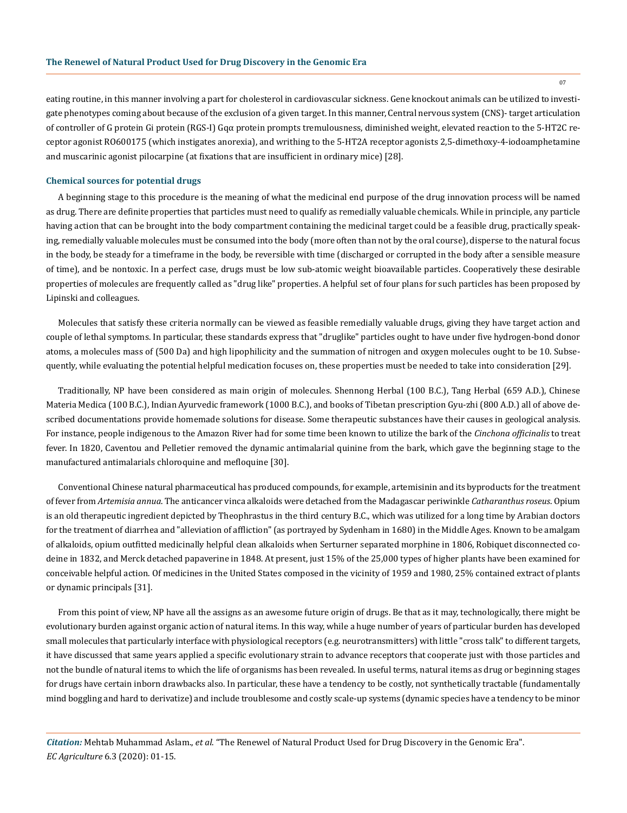eating routine, in this manner involving a part for cholesterol in cardiovascular sickness. Gene knockout animals can be utilized to investigate phenotypes coming about because of the exclusion of a given target. In this manner, Central nervous system (CNS)- target articulation of controller of G protein Gi protein (RGS-I) Gqα protein prompts tremulousness, diminished weight, elevated reaction to the 5-HT2C receptor agonist RO600175 (which instigates anorexia), and writhing to the 5-HT2A receptor agonists 2,5-dimethoxy-4-iodoamphetamine and muscarinic agonist pilocarpine (at fixations that are insufficient in ordinary mice) [28].

#### **Chemical sources for potential drugs**

A beginning stage to this procedure is the meaning of what the medicinal end purpose of the drug innovation process will be named as drug. There are definite properties that particles must need to qualify as remedially valuable chemicals. While in principle, any particle having action that can be brought into the body compartment containing the medicinal target could be a feasible drug, practically speaking, remedially valuable molecules must be consumed into the body (more often than not by the oral course), disperse to the natural focus in the body, be steady for a timeframe in the body, be reversible with time (discharged or corrupted in the body after a sensible measure of time), and be nontoxic. In a perfect case, drugs must be low sub-atomic weight bioavailable particles. Cooperatively these desirable properties of molecules are frequently called as "drug like" properties. A helpful set of four plans for such particles has been proposed by Lipinski and colleagues.

Molecules that satisfy these criteria normally can be viewed as feasible remedially valuable drugs, giving they have target action and couple of lethal symptoms. In particular, these standards express that "druglike" particles ought to have under five hydrogen-bond donor atoms, a molecules mass of (500 Da) and high lipophilicity and the summation of nitrogen and oxygen molecules ought to be 10. Subsequently, while evaluating the potential helpful medication focuses on, these properties must be needed to take into consideration [29].

Traditionally, NP have been considered as main origin of molecules. Shennong Herbal (100 B.C.), Tang Herbal (659 A.D.), Chinese Materia Medica (100 B.C.), Indian Ayurvedic framework (1000 B.C.), and books of Tibetan prescription Gyu-zhi (800 A.D.) all of above described documentations provide homemade solutions for disease. Some therapeutic substances have their causes in geological analysis. For instance, people indigenous to the Amazon River had for some time been known to utilize the bark of the *Cinchona officinalis* to treat fever. In 1820, Caventou and Pelletier removed the dynamic antimalarial quinine from the bark, which gave the beginning stage to the manufactured antimalarials chloroquine and mefloquine [30].

Conventional Chinese natural pharmaceutical has produced compounds, for example, artemisinin and its byproducts for the treatment of fever from *Artemisia annua*. The anticancer vinca alkaloids were detached from the Madagascar periwinkle *Catharanthus roseus*. Opium is an old therapeutic ingredient depicted by Theophrastus in the third century B.C., which was utilized for a long time by Arabian doctors for the treatment of diarrhea and "alleviation of affliction" (as portrayed by Sydenham in 1680) in the Middle Ages. Known to be amalgam of alkaloids, opium outfitted medicinally helpful clean alkaloids when Serturner separated morphine in 1806, Robiquet disconnected codeine in 1832, and Merck detached papaverine in 1848. At present, just 15% of the 25,000 types of higher plants have been examined for conceivable helpful action. Of medicines in the United States composed in the vicinity of 1959 and 1980, 25% contained extract of plants or dynamic principals [31].

From this point of view, NP have all the assigns as an awesome future origin of drugs. Be that as it may, technologically, there might be evolutionary burden against organic action of natural items. In this way, while a huge number of years of particular burden has developed small molecules that particularly interface with physiological receptors (e.g. neurotransmitters) with little "cross talk" to different targets, it have discussed that same years applied a specific evolutionary strain to advance receptors that cooperate just with those particles and not the bundle of natural items to which the life of organisms has been revealed. In useful terms, natural items as drug or beginning stages for drugs have certain inborn drawbacks also. In particular, these have a tendency to be costly, not synthetically tractable (fundamentally mind boggling and hard to derivatize) and include troublesome and costly scale-up systems (dynamic species have a tendency to be minor

*Citation:* Mehtab Muhammad Aslam., *et al*. "The Renewel of Natural Product Used for Drug Discovery in the Genomic Era". *EC Agriculture* 6.3 (2020): 01-15.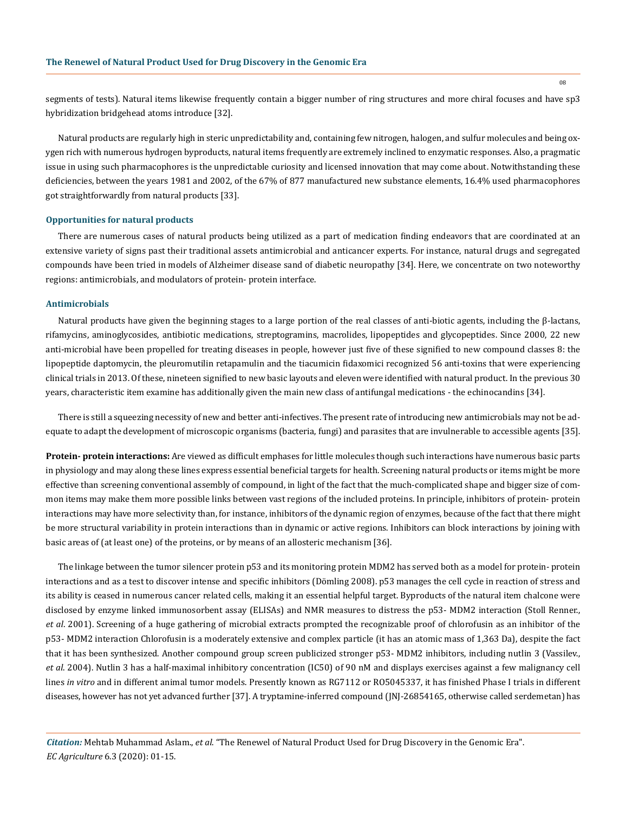08

segments of tests). Natural items likewise frequently contain a bigger number of ring structures and more chiral focuses and have sp3 hybridization bridgehead atoms introduce [32].

Natural products are regularly high in steric unpredictability and, containing few nitrogen, halogen, and sulfur molecules and being oxygen rich with numerous hydrogen byproducts, natural items frequently are extremely inclined to enzymatic responses. Also, a pragmatic issue in using such pharmacophores is the unpredictable curiosity and licensed innovation that may come about. Notwithstanding these deficiencies, between the years 1981 and 2002, of the 67% of 877 manufactured new substance elements, 16.4% used pharmacophores got straightforwardly from natural products [33].

#### **Opportunities for natural products**

There are numerous cases of natural products being utilized as a part of medication finding endeavors that are coordinated at an extensive variety of signs past their traditional assets antimicrobial and anticancer experts. For instance, natural drugs and segregated compounds have been tried in models of Alzheimer disease sand of diabetic neuropathy [34]. Here, we concentrate on two noteworthy regions: antimicrobials, and modulators of protein- protein interface.

## **Antimicrobials**

Natural products have given the beginning stages to a large portion of the real classes of anti-biotic agents, including the β-lactans, rifamycins, aminoglycosides, antibiotic medications, streptogramins, macrolides, lipopeptides and glycopeptides. Since 2000, 22 new anti-microbial have been propelled for treating diseases in people, however just five of these signified to new compound classes 8: the lipopeptide daptomycin, the pleuromutilin retapamulin and the tiacumicin fidaxomici recognized 56 anti-toxins that were experiencing clinical trials in 2013. Of these, nineteen signified to new basic layouts and eleven were identified with natural product. In the previous 30 years, characteristic item examine has additionally given the main new class of antifungal medications - the echinocandins [34].

There is still a squeezing necessity of new and better anti-infectives. The present rate of introducing new antimicrobials may not be adequate to adapt the development of microscopic organisms (bacteria, fungi) and parasites that are invulnerable to accessible agents [35].

**Protein- protein interactions:** Are viewed as difficult emphases for little molecules though such interactions have numerous basic parts in physiology and may along these lines express essential beneficial targets for health. Screening natural products or items might be more effective than screening conventional assembly of compound, in light of the fact that the much-complicated shape and bigger size of common items may make them more possible links between vast regions of the included proteins. In principle, inhibitors of protein- protein interactions may have more selectivity than, for instance, inhibitors of the dynamic region of enzymes, because of the fact that there might be more structural variability in protein interactions than in dynamic or active regions. Inhibitors can block interactions by joining with basic areas of (at least one) of the proteins, or by means of an allosteric mechanism [36].

The linkage between the tumor silencer protein p53 and its monitoring protein MDM2 has served both as a model for protein- protein interactions and as a test to discover intense and specific inhibitors (Dömling 2008). p53 manages the cell cycle in reaction of stress and its ability is ceased in numerous cancer related cells, making it an essential helpful target. Byproducts of the natural item chalcone were disclosed by enzyme linked immunosorbent assay (ELISAs) and NMR measures to distress the p53- MDM2 interaction (Stoll Renner., *et al*. 2001). Screening of a huge gathering of microbial extracts prompted the recognizable proof of chlorofusin as an inhibitor of the p53- MDM2 interaction Chlorofusin is a moderately extensive and complex particle (it has an atomic mass of 1,363 Da), despite the fact that it has been synthesized. Another compound group screen publicized stronger p53- MDM2 inhibitors, including nutlin 3 (Vassilev., *et al*. 2004). Nutlin 3 has a half-maximal inhibitory concentration (IC50) of 90 nM and displays exercises against a few malignancy cell lines *in vitro* and in different animal tumor models. Presently known as RG7112 or RO5045337, it has finished Phase I trials in different diseases, however has not yet advanced further [37]. A tryptamine-inferred compound (JNJ-26854165, otherwise called serdemetan) has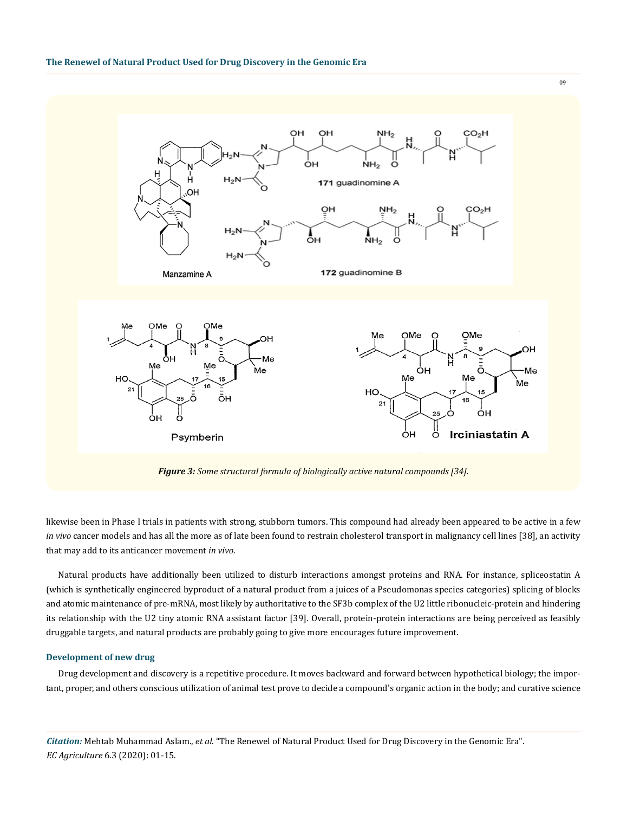

*Figure 3: Some structural formula of biologically active natural compounds [34].*

likewise been in Phase I trials in patients with strong, stubborn tumors. This compound had already been appeared to be active in a few *in vivo* cancer models and has all the more as of late been found to restrain cholesterol transport in malignancy cell lines [38], an activity that may add to its anticancer movement *in vivo*.

Natural products have additionally been utilized to disturb interactions amongst proteins and RNA. For instance, spliceostatin A (which is synthetically engineered byproduct of a natural product from a juices of a Pseudomonas species categories) splicing of blocks and atomic maintenance of pre-mRNA, most likely by authoritative to the SF3b complex of the U2 little ribonucleic-protein and hindering its relationship with the U2 tiny atomic RNA assistant factor [39]. Overall, protein-protein interactions are being perceived as feasibly druggable targets, and natural products are probably going to give more encourages future improvement.

#### **Development of new drug**

Drug development and discovery is a repetitive procedure. It moves backward and forward between hypothetical biology; the important, proper, and others conscious utilization of animal test prove to decide a compound's organic action in the body; and curative science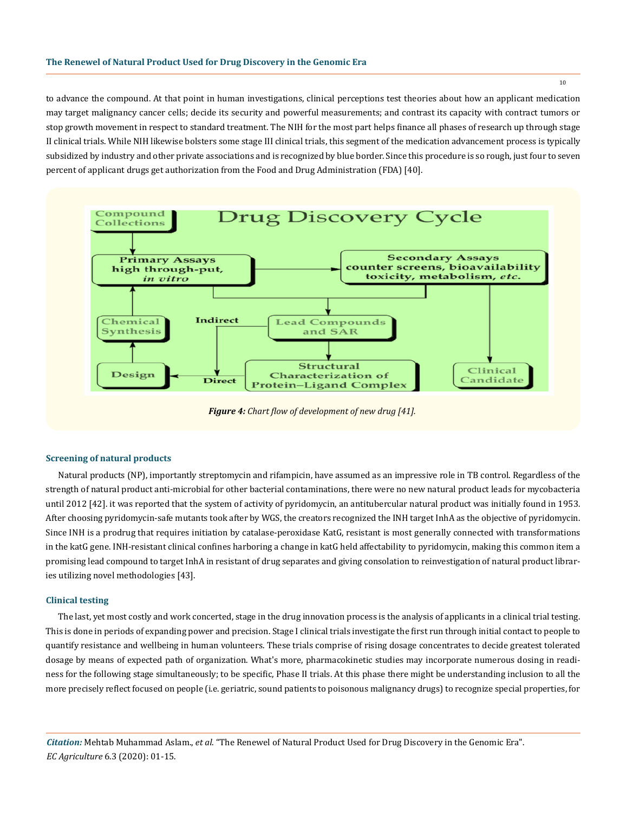to advance the compound. At that point in human investigations, clinical perceptions test theories about how an applicant medication may target malignancy cancer cells; decide its security and powerful measurements; and contrast its capacity with contract tumors or stop growth movement in respect to standard treatment. The NIH for the most part helps finance all phases of research up through stage II clinical trials. While NIH likewise bolsters some stage III clinical trials, this segment of the medication advancement process is typically subsidized by industry and other private associations and is recognized by blue border. Since this procedure is so rough, just four to seven percent of applicant drugs get authorization from the Food and Drug Administration (FDA) [40].



#### **Screening of natural products**

Natural products (NP), importantly streptomycin and rifampicin, have assumed as an impressive role in TB control. Regardless of the strength of natural product anti-microbial for other bacterial contaminations, there were no new natural product leads for mycobacteria until 2012 [42]. it was reported that the system of activity of pyridomycin, an antitubercular natural product was initially found in 1953. After choosing pyridomycin-safe mutants took after by WGS, the creators recognized the INH target InhA as the objective of pyridomycin. Since INH is a prodrug that requires initiation by catalase-peroxidase KatG, resistant is most generally connected with transformations in the katG gene. INH-resistant clinical confines harboring a change in katG held affectability to pyridomycin, making this common item a promising lead compound to target InhA in resistant of drug separates and giving consolation to reinvestigation of natural product libraries utilizing novel methodologies [43].

#### **Clinical testing**

The last, yet most costly and work concerted, stage in the drug innovation process is the analysis of applicants in a clinical trial testing. This is done in periods of expanding power and precision. Stage I clinical trials investigate the first run through initial contact to people to quantify resistance and wellbeing in human volunteers. These trials comprise of rising dosage concentrates to decide greatest tolerated dosage by means of expected path of organization. What's more, pharmacokinetic studies may incorporate numerous dosing in readiness for the following stage simultaneously; to be specific, Phase II trials. At this phase there might be understanding inclusion to all the more precisely reflect focused on people (i.e. geriatric, sound patients to poisonous malignancy drugs) to recognize special properties, for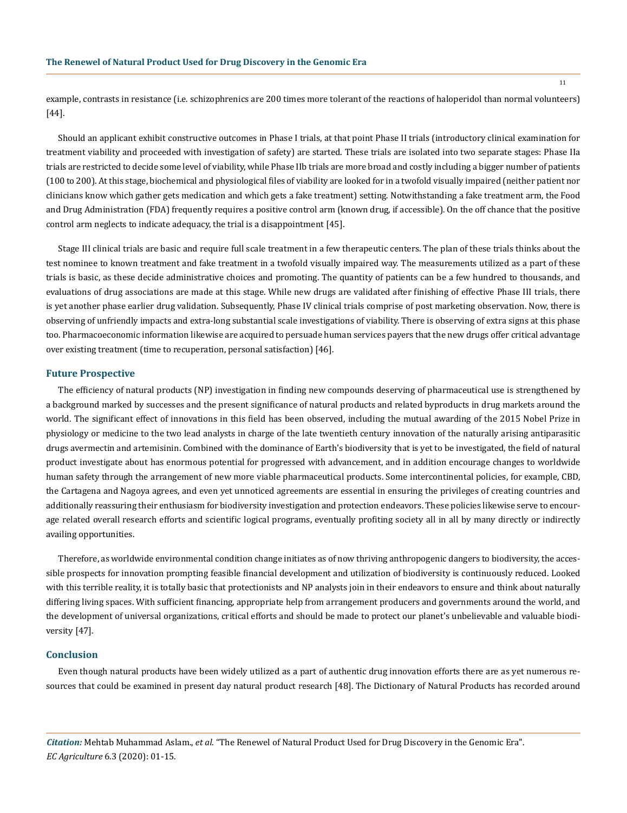example, contrasts in resistance (i.e. schizophrenics are 200 times more tolerant of the reactions of haloperidol than normal volunteers) [44].

Should an applicant exhibit constructive outcomes in Phase I trials, at that point Phase II trials (introductory clinical examination for treatment viability and proceeded with investigation of safety) are started. These trials are isolated into two separate stages: Phase IIa trials are restricted to decide some level of viability, while Phase IIb trials are more broad and costly including a bigger number of patients (100 to 200). At this stage, biochemical and physiological files of viability are looked for in a twofold visually impaired (neither patient nor clinicians know which gather gets medication and which gets a fake treatment) setting. Notwithstanding a fake treatment arm, the Food and Drug Administration (FDA) frequently requires a positive control arm (known drug, if accessible). On the off chance that the positive control arm neglects to indicate adequacy, the trial is a disappointment [45].

Stage III clinical trials are basic and require full scale treatment in a few therapeutic centers. The plan of these trials thinks about the test nominee to known treatment and fake treatment in a twofold visually impaired way. The measurements utilized as a part of these trials is basic, as these decide administrative choices and promoting. The quantity of patients can be a few hundred to thousands, and evaluations of drug associations are made at this stage. While new drugs are validated after finishing of effective Phase III trials, there is yet another phase earlier drug validation. Subsequently, Phase IV clinical trials comprise of post marketing observation. Now, there is observing of unfriendly impacts and extra-long substantial scale investigations of viability. There is observing of extra signs at this phase too. Pharmacoeconomic information likewise are acquired to persuade human services payers that the new drugs offer critical advantage over existing treatment (time to recuperation, personal satisfaction) [46].

## **Future Prospective**

The efficiency of natural products (NP) investigation in finding new compounds deserving of pharmaceutical use is strengthened by a background marked by successes and the present significance of natural products and related byproducts in drug markets around the world. The significant effect of innovations in this field has been observed, including the mutual awarding of the 2015 Nobel Prize in physiology or medicine to the two lead analysts in charge of the late twentieth century innovation of the naturally arising antiparasitic drugs avermectin and artemisinin. Combined with the dominance of Earth's biodiversity that is yet to be investigated, the field of natural product investigate about has enormous potential for progressed with advancement, and in addition encourage changes to worldwide human safety through the arrangement of new more viable pharmaceutical products. Some intercontinental policies, for example, CBD, the Cartagena and Nagoya agrees, and even yet unnoticed agreements are essential in ensuring the privileges of creating countries and additionally reassuring their enthusiasm for biodiversity investigation and protection endeavors. These policies likewise serve to encourage related overall research efforts and scientific logical programs, eventually profiting society all in all by many directly or indirectly availing opportunities.

Therefore, as worldwide environmental condition change initiates as of now thriving anthropogenic dangers to biodiversity, the accessible prospects for innovation prompting feasible financial development and utilization of biodiversity is continuously reduced. Looked with this terrible reality, it is totally basic that protectionists and NP analysts join in their endeavors to ensure and think about naturally differing living spaces. With sufficient financing, appropriate help from arrangement producers and governments around the world, and the development of universal organizations, critical efforts and should be made to protect our planet's unbelievable and valuable biodiversity [47].

#### **Conclusion**

Even though natural products have been widely utilized as a part of authentic drug innovation efforts there are as yet numerous resources that could be examined in present day natural product research [48]. The Dictionary of Natural Products has recorded around

*Citation:* Mehtab Muhammad Aslam., *et al*. "The Renewel of Natural Product Used for Drug Discovery in the Genomic Era". *EC Agriculture* 6.3 (2020): 01-15.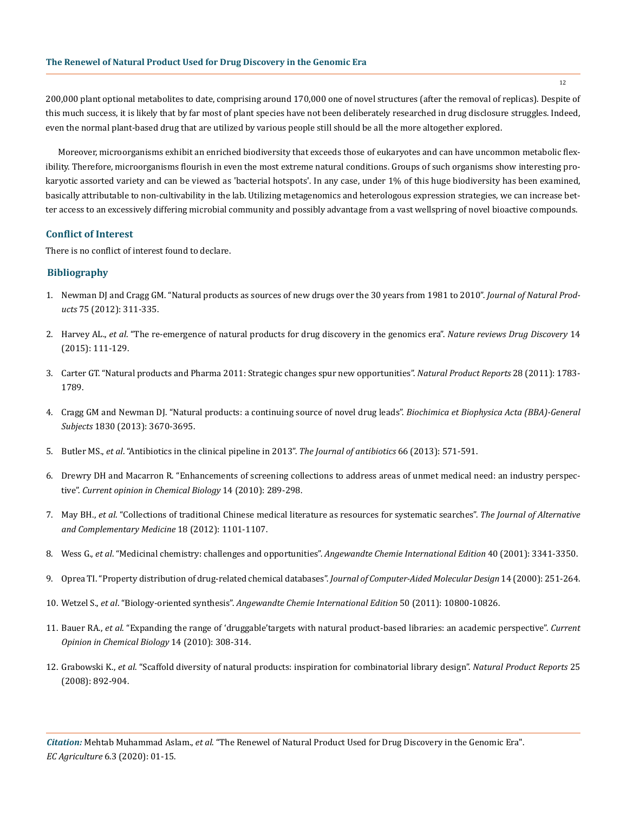200,000 plant optional metabolites to date, comprising around 170,000 one of novel structures (after the removal of replicas). Despite of this much success, it is likely that by far most of plant species have not been deliberately researched in drug disclosure struggles. Indeed, even the normal plant-based drug that are utilized by various people still should be all the more altogether explored.

Moreover, microorganisms exhibit an enriched biodiversity that exceeds those of eukaryotes and can have uncommon metabolic flexibility. Therefore, microorganisms flourish in even the most extreme natural conditions. Groups of such organisms show interesting prokaryotic assorted variety and can be viewed as 'bacterial hotspots'. In any case, under 1% of this huge biodiversity has been examined, basically attributable to non-cultivability in the lab. Utilizing metagenomics and heterologous expression strategies, we can increase better access to an excessively differing microbial community and possibly advantage from a vast wellspring of novel bioactive compounds.

#### **Conflict of Interest**

There is no conflict of interest found to declare.

## **Bibliography**

- 1. [Newman DJ and Cragg GM. "Natural products as sources of new drugs over the 30 years from 1981 to 2010".](https://www.ncbi.nlm.nih.gov/pubmed/22316239) *Journal of Natural Products* [75 \(2012\): 311-335.](https://www.ncbi.nlm.nih.gov/pubmed/22316239)
- 2. Harvey AL., *et al*[. "The re-emergence of natural products for drug discovery in the genomics era".](https://www.ncbi.nlm.nih.gov/pubmed/25614221) *Nature reviews Drug Discovery* 14 [\(2015\): 111-129.](https://www.ncbi.nlm.nih.gov/pubmed/25614221)
- 3. [Carter GT. "Natural products and Pharma 2011: Strategic changes spur new opportunities".](https://www.semanticscholar.org/paper/Natural-Products-and-Pharma-2011%3A-Strategic-Changes-Carter/37faecafe80a1d2e4f35c47b519ddc5e2f2f65b3) *Natural Product Reports* 28 (2011): 1783- [1789.](https://www.semanticscholar.org/paper/Natural-Products-and-Pharma-2011%3A-Strategic-Changes-Carter/37faecafe80a1d2e4f35c47b519ddc5e2f2f65b3)
- 4. [Cragg GM and Newman DJ. "Natural products: a continuing source of novel drug leads".](https://www.ncbi.nlm.nih.gov/pubmed/23428572) *Biochimica et Biophysica Acta (BBA)-General Subjects* [1830 \(2013\): 3670-3695.](https://www.ncbi.nlm.nih.gov/pubmed/23428572)
- 5. Butler MS., *et al*[. "Antibiotics in the clinical pipeline in 2013".](https://www.ncbi.nlm.nih.gov/pubmed/24002361) *The Journal of antibiotics* 66 (2013): 571-591.
- 6. [Drewry DH and Macarron R. "Enhancements of screening collections to address areas of unmet medical need: an industry perspec](https://www.ncbi.nlm.nih.gov/pubmed/20413343)tive". *[Current opinion in Chemical Biology](https://www.ncbi.nlm.nih.gov/pubmed/20413343)* 14 (2010): 289-298.
- 7. May BH., *et al*[. "Collections of traditional Chinese medical literature as resources for systematic searches".](https://www.ncbi.nlm.nih.gov/pubmed/23062022) *The Journal of Alternative [and Complementary Medicine](https://www.ncbi.nlm.nih.gov/pubmed/23062022)* 18 (2012): 1101-1107.
- 8. Wess G., *et al*[. "Medicinal chemistry: challenges and opportunities".](https://onlinelibrary.wiley.com/doi/abs/10.1002/1521-3773(20010917)40:18%3C3341::AID-ANIE3341%3E3.0.CO%3B2-D) *Angewandte Chemie International Edition* 40 (2001): 3341-3350.
- 9. [Oprea TI. "Property distribution of drug-related chemical databases".](https://www.ncbi.nlm.nih.gov/pubmed/10756480) *Journal of Computer-Aided Molecular Design* 14 (2000): 251-264.
- 10. Wetzel S., *et al*. "Biology‐oriented synthesis". *[Angewandte Chemie International Edition](https://onlinelibrary.wiley.com/doi/abs/10.1002/anie.201007004)* 50 (2011): 10800-10826.
- 11. Bauer RA., *et al*[. "Expanding the range of 'druggable'targets with natural product-based libraries: an academic perspective".](https://www.ncbi.nlm.nih.gov/pubmed/20202892) *Current [Opinion in Chemical Biology](https://www.ncbi.nlm.nih.gov/pubmed/20202892)* 14 (2010): 308-314.
- 12. Grabowski K., *et al*. "Scaffold diversity of natural products: inspiration for combinatorial library design". *Natural Product Reports* 25 (2008): 892-904.

*Citation:* Mehtab Muhammad Aslam., *et al*. "The Renewel of Natural Product Used for Drug Discovery in the Genomic Era". *EC Agriculture* 6.3 (2020): 01-15.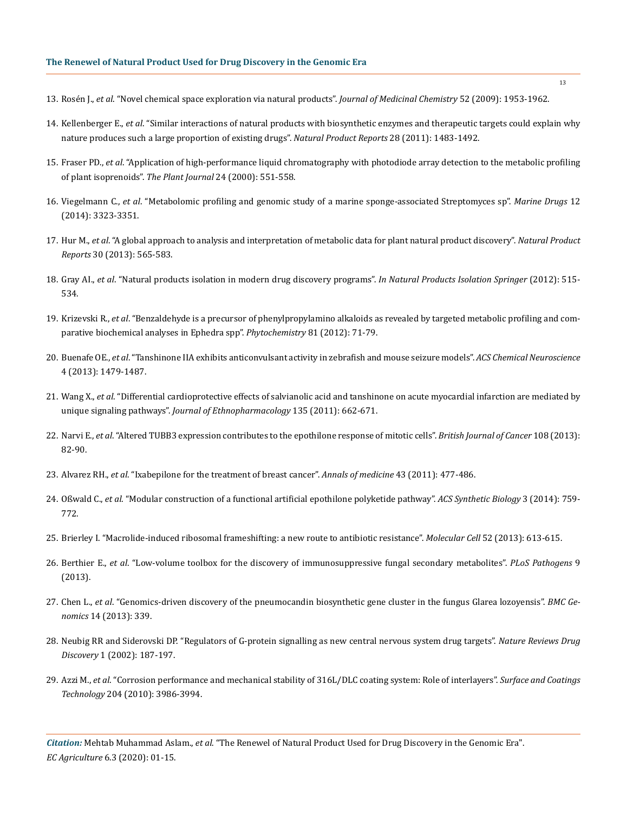- 13. Rosén J., *et al*[. "Novel chemical space exploration via natural products".](https://www.ncbi.nlm.nih.gov/pmc/articles/PMC2696019/) *Journal of Medicinal Chemistry* 52 (2009): 1953-1962.
- 14. Kellenberger E., *et al*[. "Similar interactions of natural products with biosynthetic enzymes and therapeutic targets could explain why](https://www.ncbi.nlm.nih.gov/pubmed/21779594) [nature produces such a large proportion of existing drugs".](https://www.ncbi.nlm.nih.gov/pubmed/21779594) *Natural Product Reports* 28 (2011): 1483-1492.
- 15. Fraser PD., *et al*[. "Application of high‐performance liquid chromatography with photodiode array detection to the metabolic profiling](https://onlinelibrary.wiley.com/doi/full/10.1111/j.1365-313X.2000.00896.x) [of plant isoprenoids".](https://onlinelibrary.wiley.com/doi/full/10.1111/j.1365-313X.2000.00896.x) *The Plant Journal* 24 (2000): 551-558.
- 16. Viegelmann C., *et al*[. "Metabolomic profiling and genomic study of a marine sponge-associated Streptomyces sp".](https://www.researchgate.net/publication/262815666_Metabolomic_Profiling_and_Genomic_Study_of_a_Marine_Sponge-Associated_Streptomyces_sp) *Marine Drugs* 12 [\(2014\): 3323-3351.](https://www.researchgate.net/publication/262815666_Metabolomic_Profiling_and_Genomic_Study_of_a_Marine_Sponge-Associated_Streptomyces_sp)
- 17. Hur M., *et al*[. "A global approach to analysis and interpretation of metabolic data for plant natural product discovery".](https://www.researchgate.net/publication/235750479_A_global_approach_to_analysis_and_interpretation_of_metabolic_data_for_plant_natural_product_discovery) *Natural Product Reports* [30 \(2013\): 565-583.](https://www.researchgate.net/publication/235750479_A_global_approach_to_analysis_and_interpretation_of_metabolic_data_for_plant_natural_product_discovery)
- 18. Gray AI., *et al*[. "Natural products isolation in modern drug discovery programs".](https://www.ncbi.nlm.nih.gov/pubmed/22367910) *In Natural Products Isolation Springer* (2012): 515- [534.](https://www.ncbi.nlm.nih.gov/pubmed/22367910)
- 19. Krizevski R., *et al*[. "Benzaldehyde is a precursor of phenylpropylamino alkaloids as revealed by targeted metabolic profiling and com](https://www.ncbi.nlm.nih.gov/pubmed/22727117)[parative biochemical analyses in Ephedra spp".](https://www.ncbi.nlm.nih.gov/pubmed/22727117) *Phytochemistry* 81 (2012): 71-79.
- 20. Buenafe OE., *et al*[. "Tanshinone IIA exhibits anticonvulsant activity in zebrafish and mouse seizure models".](https://www.ncbi.nlm.nih.gov/pmc/articles/PMC3837379/) *ACS Chemical Neuroscience* [4 \(2013\): 1479-1487.](https://www.ncbi.nlm.nih.gov/pmc/articles/PMC3837379/)
- 21. Wang X., *et al*[. "Differential cardioprotective effects of salvianolic acid and tanshinone on acute myocardial infarction are mediated by](https://www.ncbi.nlm.nih.gov/pubmed/21497648) unique signaling pathways". *[Journal of Ethnopharmacology](https://www.ncbi.nlm.nih.gov/pubmed/21497648)* 135 (2011): 662-671.
- 22. Narvi E., *et al*[. "Altered TUBB3 expression contributes to the epothilone response of mitotic cells".](https://www.researchgate.net/publication/234141750_Altered_TUBB3_expression_contributes_to_the_epothilone_response_of_mitotic_cells) *British Journal of Cancer* 108 (2013): [82-90.](https://www.researchgate.net/publication/234141750_Altered_TUBB3_expression_contributes_to_the_epothilone_response_of_mitotic_cells)
- 23. Alvarez RH., *et al*[. "Ixabepilone for the treatment of breast cancer".](https://www.tandfonline.com/doi/abs/10.3109/07853890.2011.579151?scroll=top&needAccess=true&journalCode=iann20) *Annals of medicine* 43 (2011): 477-486.
- 24. Oßwald C., *et al*[. "Modular construction of a functional artificial epothilone polyketide pathway".](https://www.ncbi.nlm.nih.gov/pubmed/23654254) *ACS Synthetic Biology* 3 (2014): 759- [772.](https://www.ncbi.nlm.nih.gov/pubmed/23654254)
- 25. [Brierley I. "Macrolide-induced ribosomal frameshifting: a new route to antibiotic resistance".](https://www.ncbi.nlm.nih.gov/pubmed/24332175) *Molecular Cell* 52 (2013): 613-615.
- 26. Berthier E., *et al*[. "Low-volume toolbox for the discovery of immunosuppressive fungal secondary metabolites".](https://journals.plos.org/plospathogens/article?id=10.1371/journal.ppat.1003289) *PLoS Pathogens* 9 [\(2013\).](https://journals.plos.org/plospathogens/article?id=10.1371/journal.ppat.1003289)
- 27. Chen L., *et al*[. "Genomics-driven discovery of the pneumocandin biosynthetic gene cluster in the fungus Glarea lozoyensis".](https://www.researchgate.net/publication/236922601_Genomics-driven_discovery_of_the_pneumocandin_biosynthetic_gene_cluster_in_the_fungus_Glarea_lozoyensis) *BMC Genomics* [14 \(2013\): 339.](https://www.researchgate.net/publication/236922601_Genomics-driven_discovery_of_the_pneumocandin_biosynthetic_gene_cluster_in_the_fungus_Glarea_lozoyensis)
- 28. [Neubig RR and Siderovski DP. "Regulators of G-protein signalling as new central nervous system drug targets".](https://www.nature.com/articles/nrd747) *Nature Reviews Drug Discovery* [1 \(2002\): 187-197.](https://www.nature.com/articles/nrd747)
- 29. Azzi M., *et al*[. "Corrosion performance and mechanical stability of 316L/DLC coating system: Role of interlayers".](https://www.sciencedirect.com/science/article/abs/pii/S0257897210003646) *Surface and Coatings Technology* [204 \(2010\): 3986-3994.](https://www.sciencedirect.com/science/article/abs/pii/S0257897210003646)

*Citation:* Mehtab Muhammad Aslam., *et al*. "The Renewel of Natural Product Used for Drug Discovery in the Genomic Era". *EC Agriculture* 6.3 (2020): 01-15.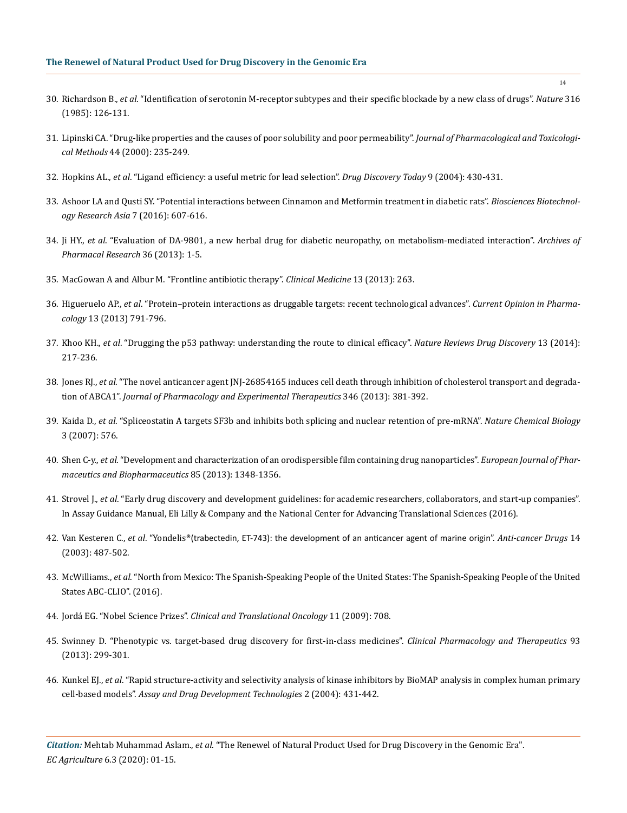- 30. Richardson B., *et al*[. "Identification of serotonin M-receptor subtypes and their specific blockade by a new class of drugs".](https://www.nature.com/articles/316126a0) *Nature* 316 [\(1985\): 126-131.](https://www.nature.com/articles/316126a0)
- 31. [Lipinski CA. "Drug-like properties and the causes of poor solubility and poor permeability".](https://www.ncbi.nlm.nih.gov/pubmed/11274893) *Journal of Pharmacological and Toxicological Methods* [44 \(2000\): 235-249.](https://www.ncbi.nlm.nih.gov/pubmed/11274893)
- 32. Hopkins AL., *et al*[. "Ligand efficiency: a useful metric for lead selection".](https://www.ncbi.nlm.nih.gov/pubmed/15109945) *Drug Discovery Today* 9 (2004): 430-431.
- 33. [Ashoor LA and Qusti SY. "Potential interactions between Cinnamon and Metformin treatment in diabetic rats".](http://www.biotech-asia.org/vol7no2/potential-interactions-between-cinnamon-and-metformin-treatment-in-diabetic-rats/) *Biosciences Biotechnol[ogy Research Asia](http://www.biotech-asia.org/vol7no2/potential-interactions-between-cinnamon-and-metformin-treatment-in-diabetic-rats/)* 7 (2016): 607-616.
- 34. Ji HY., *et al*[. "Evaluation of DA-9801, a new herbal drug for diabetic neuropathy, on metabolism-mediated interaction".](https://www.ncbi.nlm.nih.gov/pubmed/23371804) *Archives of [Pharmacal Research](https://www.ncbi.nlm.nih.gov/pubmed/23371804)* 36 (2013): 1-5.
- 35. [MacGowan A and Albur M. "Frontline antibiotic therapy".](https://www.ncbi.nlm.nih.gov/pubmed/23760700) *Clinical Medicine* 13 (2013): 263.
- 36. Higueruelo AP., *et al*[. "Protein–protein interactions as druggable targets: recent technological advances".](https://www.ncbi.nlm.nih.gov/pubmed/23735579) *Current Opinion in Pharmacology* [13 \(2013\) 791-796.](https://www.ncbi.nlm.nih.gov/pubmed/23735579)
- 37. Khoo KH., *et al*[. "Drugging the p53 pathway: understanding the route to clinical efficacy".](https://www.ncbi.nlm.nih.gov/pubmed/24577402) *Nature Reviews Drug Discovery* 13 (2014): [217-236.](https://www.ncbi.nlm.nih.gov/pubmed/24577402)
- 38. Jones RJ., *et al*[. "The novel anticancer agent JNJ-26854165 induces cell death through inhibition of cholesterol transport and degrada](https://www.ncbi.nlm.nih.gov/pubmed/23820125)tion of ABCA1". *[Journal of Pharmacology and Experimental Therapeutics](https://www.ncbi.nlm.nih.gov/pubmed/23820125)* 346 (2013): 381-392.
- 39. Kaida D., *et al*[. "Spliceostatin A targets SF3b and inhibits both splicing and nuclear retention of pre-mRNA".](https://www.ncbi.nlm.nih.gov/pubmed/17643111) *Nature Chemical Biology* [3 \(2007\): 576.](https://www.ncbi.nlm.nih.gov/pubmed/17643111)
- 40. Shen C-y., *et al*[. "Development and characterization of an orodispersible film containing drug nanoparticles".](https://www.ncbi.nlm.nih.gov/pubmed/24103635) *European Journal of Phar[maceutics and Biopharmaceutics](https://www.ncbi.nlm.nih.gov/pubmed/24103635)* 85 (2013): 1348-1356.
- 41. Strovel J., *et al*[. "Early drug discovery and development guidelines: for academic researchers, collaborators, and start-up companies".](https://www.ncbi.nlm.nih.gov/books/NBK92015/) [In Assay Guidance Manual, Eli Lilly & Company and the National Center for Advancing Translational Sciences \(2016\).](https://www.ncbi.nlm.nih.gov/books/NBK92015/)
- 42. Van Kesteren C., *et al*. "Yondelis[®\(trabectedin, ET-743\): the development of an anticancer agent of marine origin](https://www.researchgate.net/publication/10578197_Yondelis_trabectedin_ET-743_The_development_of_an_anticancer_agent_of_marine_origin)". *Anti-cancer Drugs* 14 [\(2003\): 487-502.](https://www.researchgate.net/publication/10578197_Yondelis_trabectedin_ET-743_The_development_of_an_anticancer_agent_of_marine_origin)
- 43. McWilliams., *et al*[. "North from Mexico: The Spanish-Speaking People of the United States: The Spanish-Speaking People of the United](https://publisher.abc-clio.com/9781440836831/) [States ABC-CLIO". \(2016\).](https://publisher.abc-clio.com/9781440836831/)
- 44. Jordá EG. "Nobel Science Prizes". *Clinical and Translational Oncology* 11 (2009): 708.
- 45. [Swinney D. "Phenotypic vs. target‐based drug discovery for first‐in‐class medicines".](https://www.ncbi.nlm.nih.gov/pubmed/23511784) *Clinical Pharmacology and Therapeutics* 93 [\(2013\): 299-301.](https://www.ncbi.nlm.nih.gov/pubmed/23511784)
- 46. Kunkel EJ., *et al*[. "Rapid structure-activity and selectivity analysis of kinase inhibitors by BioMAP analysis in complex human primary](https://www.ncbi.nlm.nih.gov/pubmed/15357924) cell-based models". *[Assay and Drug Development Technologies](https://www.ncbi.nlm.nih.gov/pubmed/15357924)* 2 (2004): 431-442.

*Citation:* Mehtab Muhammad Aslam., *et al*. "The Renewel of Natural Product Used for Drug Discovery in the Genomic Era". *EC Agriculture* 6.3 (2020): 01-15.